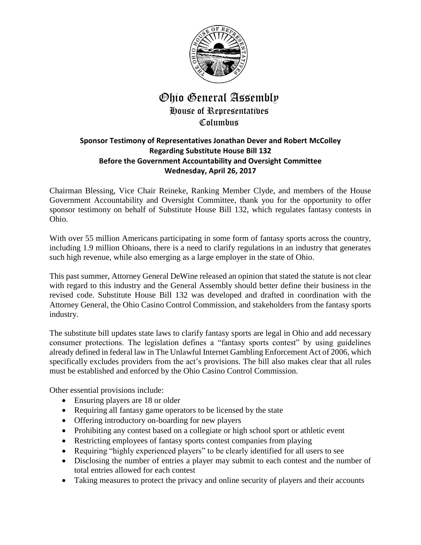

## Ohio General Assembly House of Representatives Columbus

## **Sponsor Testimony of Representatives Jonathan Dever and Robert McColley Regarding Substitute House Bill 132 Before the Government Accountability and Oversight Committee Wednesday, April 26, 2017**

Chairman Blessing, Vice Chair Reineke, Ranking Member Clyde, and members of the House Government Accountability and Oversight Committee, thank you for the opportunity to offer sponsor testimony on behalf of Substitute House Bill 132, which regulates fantasy contests in Ohio.

With over 55 million Americans participating in some form of fantasy sports across the country, including 1.9 million Ohioans, there is a need to clarify regulations in an industry that generates such high revenue, while also emerging as a large employer in the state of Ohio.

This past summer, Attorney General DeWine released an opinion that stated the statute is not clear with regard to this industry and the General Assembly should better define their business in the revised code. Substitute House Bill 132 was developed and drafted in coordination with the Attorney General, the Ohio Casino Control Commission, and stakeholders from the fantasy sports industry.

The substitute bill updates state laws to clarify fantasy sports are legal in Ohio and add necessary consumer protections. The legislation defines a "fantasy sports contest" by using guidelines already defined in federal law in The Unlawful Internet Gambling Enforcement Act of 2006, which specifically excludes providers from the act's provisions. The bill also makes clear that all rules must be established and enforced by the Ohio Casino Control Commission.

Other essential provisions include:

- Ensuring players are 18 or older
- Requiring all fantasy game operators to be licensed by the state
- Offering introductory on-boarding for new players
- Prohibiting any contest based on a collegiate or high school sport or athletic event
- Restricting employees of fantasy sports contest companies from playing
- Requiring "highly experienced players" to be clearly identified for all users to see
- Disclosing the number of entries a player may submit to each contest and the number of total entries allowed for each contest
- Taking measures to protect the privacy and online security of players and their accounts